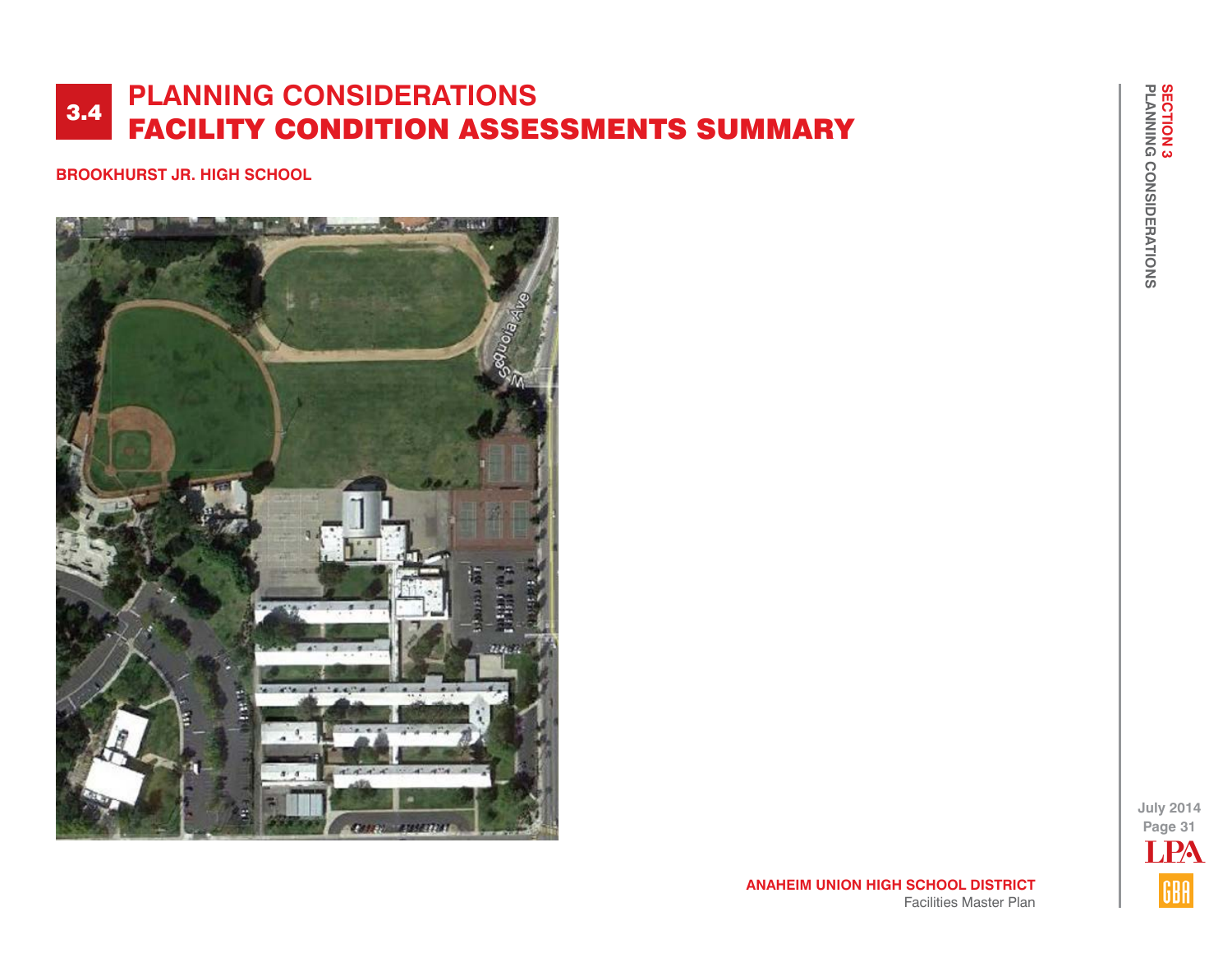**BROOKHURST JR. HIGH SCHOOL**



**July 2014 Page 31** LPAGBA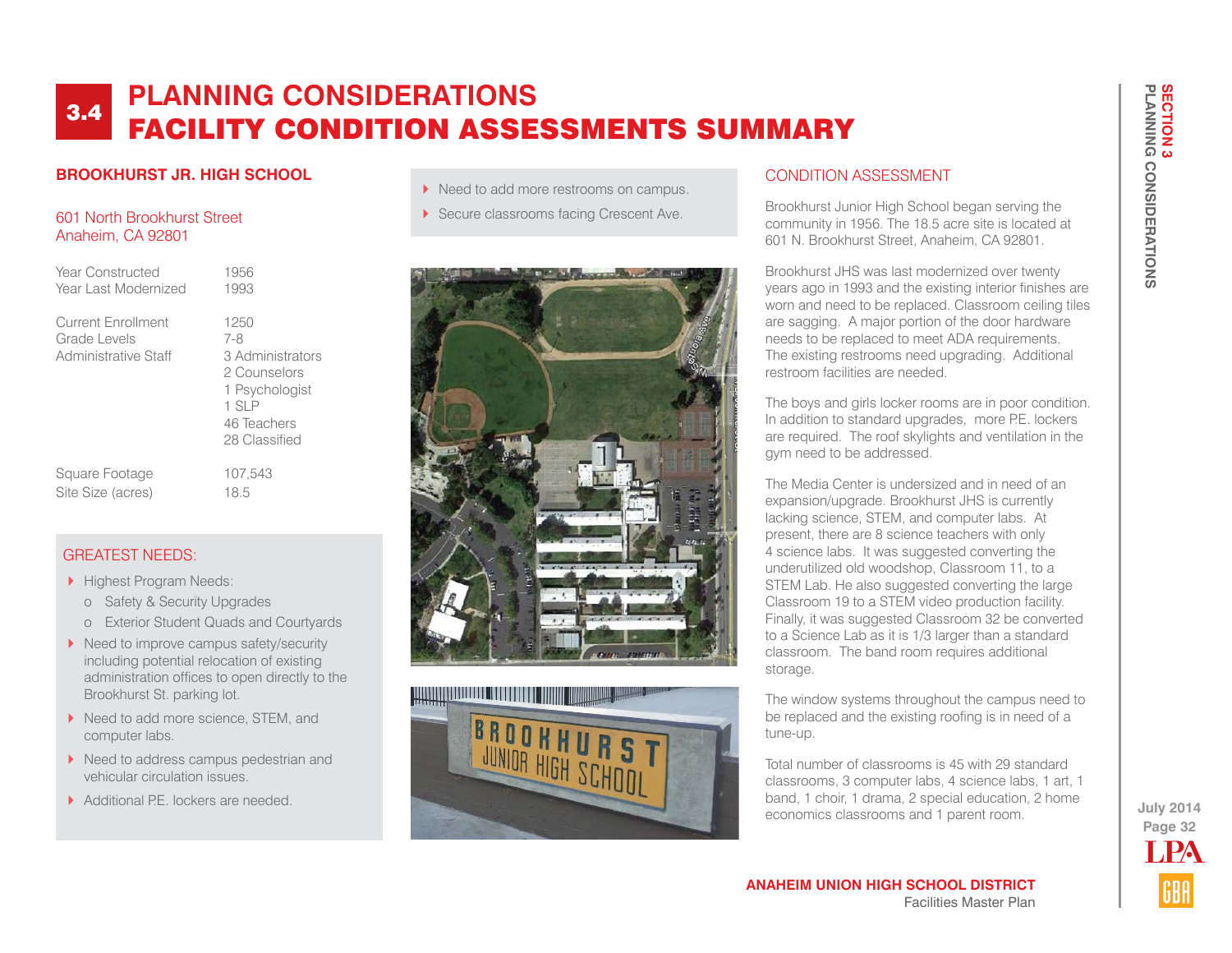### **BROOKHURST JR. HIGH SCHOOL**

#### 601 North Brookhurst Street Anaheim, CA 92801

| Year Constructed                                                  | 1956                                                                                                       |
|-------------------------------------------------------------------|------------------------------------------------------------------------------------------------------------|
| Year Last Modernized                                              | 1993                                                                                                       |
| <b>Current Enrollment</b><br>Grade Levels<br>Administrative Staff | 1250<br>7-8<br>3 Administrators<br>2 Counselors<br>1 Psychologist<br>1 SLP<br>46 Teachers<br>28 Classified |

Square Footage 107,543 Site Size (acres) 18.5

### GREATEST NEEDS:

- Highest Program Needs:
	- o Safety & Security Upgrades
	- o Exterior Student Quads and Courtyards
- ▶ Need to improve campus safety/security including potential relocation of existing administration offices to open directly to the Brookhurst St. parking lot.
- ▶ Need to add more science, STEM, and computer labs.
- ▶ Need to address campus pedestrian and vehicular circulation issues.
- Additional PF lockers are needed.
- Need to add more restrooms on campus.
- Secure classrooms facing Crescent Ave.





## CONDITION ASSESSMENT

Brookhurst Junior High School began serving the community in 1956. The 18.5 acre site is located at 601 N. Brookhurst Street, Anaheim, CA 92801.

Brookhurst JHS was last modernized over twenty years ago in 1993 and the existing interior finishes are worn and need to be replaced. Classroom ceiling tiles are sagging. A major portion of the door hardware needs to be replaced to meet ADA requirements. The existing restrooms need upgrading. Additional restroom facilities are needed.

The boys and girls locker rooms are in poor condition. In addition to standard upgrades, more P.E. lockers are required. The roof skylights and ventilation in the gym need to be addressed.

The Media Center is undersized and in need of an expansion/upgrade. Brookhurst JHS is currently lacking science, STEM, and computer labs. At present, there are 8 science teachers with only 4 science labs. It was suggested converting the underutilized old woodshop, Classroom 11, to a STEM Lab. He also suggested converting the large Classroom 19 to a STEM video production facility. Finally, it was suggested Classroom 32 be converted to a Science Lab as it is 1/3 larger than a standard classroom. The band room requires additional storage.

The window systems throughout the campus need to be replaced and the existing roofing is in need of a tune-up.

Total number of classrooms is 45 with 29 standard classrooms, 3 computer labs, 4 science labs, 1 art, 1 band, 1 choir, 1 drama, 2 special education, 2 home economics classrooms and 1 parent room.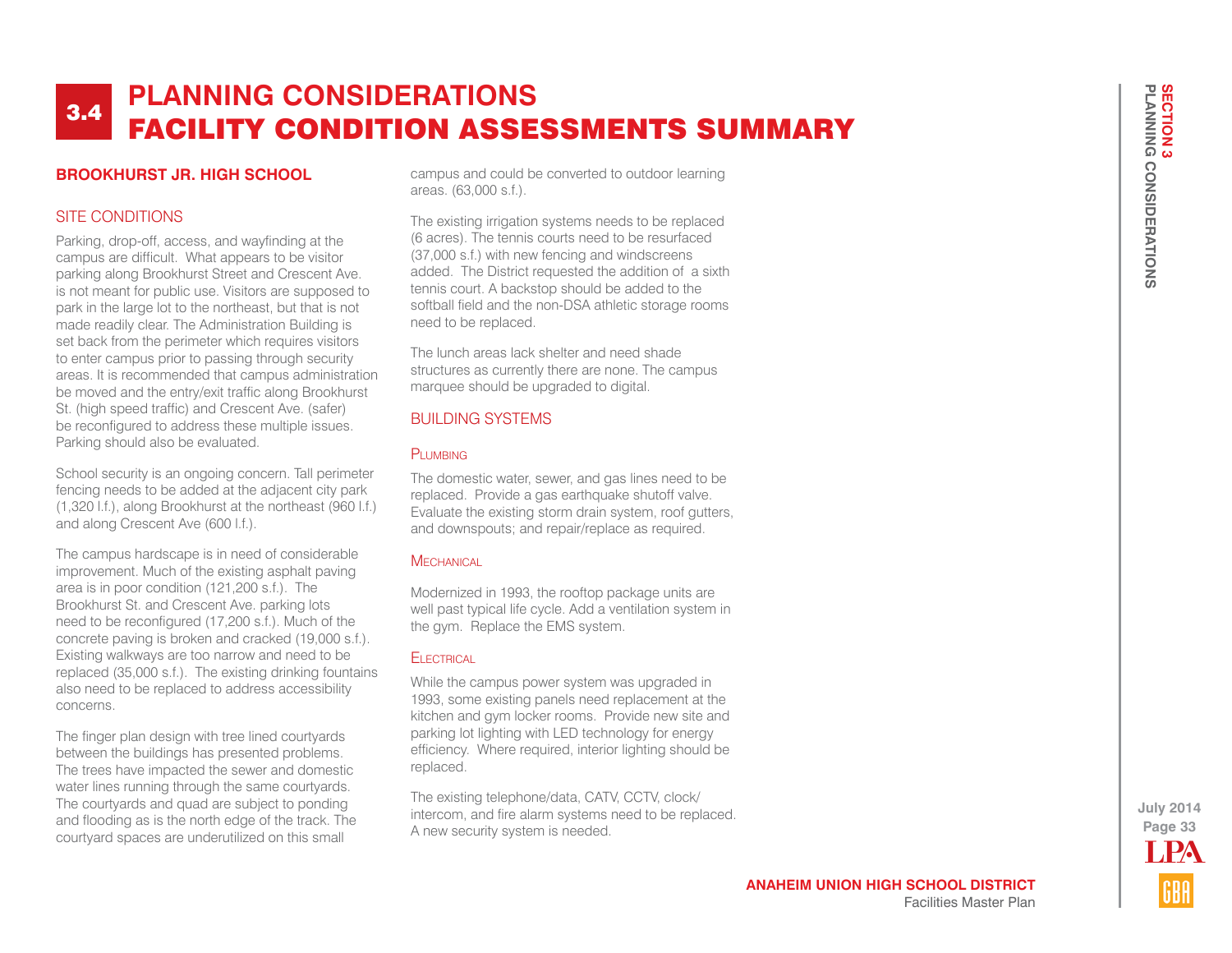### **BROOKHURST JR. HIGH SCHOOL**

### SITE CONDITIONS

Parking, drop-off, access, and wayfinding at the campus are difficult. What appears to be visitor parking along Brookhurst Street and Crescent Ave. is not meant for public use. Visitors are supposed to park in the large lot to the northeast, but that is not made readily clear. The Administration Building is set back from the perimeter which requires visitors to enter campus prior to passing through security areas. It is recommended that campus administration be moved and the entry/exit traffic along Brookhurst St. (high speed traffic) and Crescent Ave. (safer) be reconfigured to address these multiple issues. Parking should also be evaluated.

School security is an ongoing concern. Tall perimeter fencing needs to be added at the adjacent city park (1,320 l.f.), along Brookhurst at the northeast (960 l.f.) and along Crescent Ave (600 l.f.).

The campus hardscape is in need of considerable improvement. Much of the existing asphalt paving area is in poor condition (121,200 s.f.). The Brookhurst St. and Crescent Ave. parking lots need to be reconfigured (17,200 s.f.). Much of the concrete paving is broken and cracked (19,000 s.f.). Existing walkways are too narrow and need to be replaced (35,000 s.f.). The existing drinking fountains also need to be replaced to address accessibility concerns.

The finger plan design with tree lined courtyards between the buildings has presented problems. The trees have impacted the sewer and domestic water lines running through the same courtyards. The courtyards and quad are subject to ponding and flooding as is the north edge of the track. The courtyard spaces are underutilized on this small

campus and could be converted to outdoor learning areas. (63,000 s.f.).

The existing irrigation systems needs to be replaced (6 acres). The tennis courts need to be resurfaced (37,000 s.f.) with new fencing and windscreens added. The District requested the addition of a sixth tennis court. A backstop should be added to the softball field and the non-DSA athletic storage rooms need to be replaced.

The lunch areas lack shelter and need shade structures as currently there are none. The campus marquee should be upgraded to digital.

## BUILDING SYSTEMS

#### PLUMBING

The domestic water, sewer, and gas lines need to be replaced. Provide a gas earthquake shutoff valve. Evaluate the existing storm drain system, roof gutters, and downspouts; and repair/replace as required.

#### **MECHANICAL**

Modernized in 1993, the rooftop package units are well past typical life cycle. Add a ventilation system in the gym. Replace the EMS system.

#### **ELECTRICAL**

While the campus power system was upgraded in 1993, some existing panels need replacement at the kitchen and gym locker rooms. Provide new site and parking lot lighting with LED technology for energy efficiency. Where required, interior lighting should be replaced.

The existing telephone/data, CATV, CCTV, clock/ intercom, and fire alarm systems need to be replaced. A new security system is needed.

**Page 33 July 2014** LPA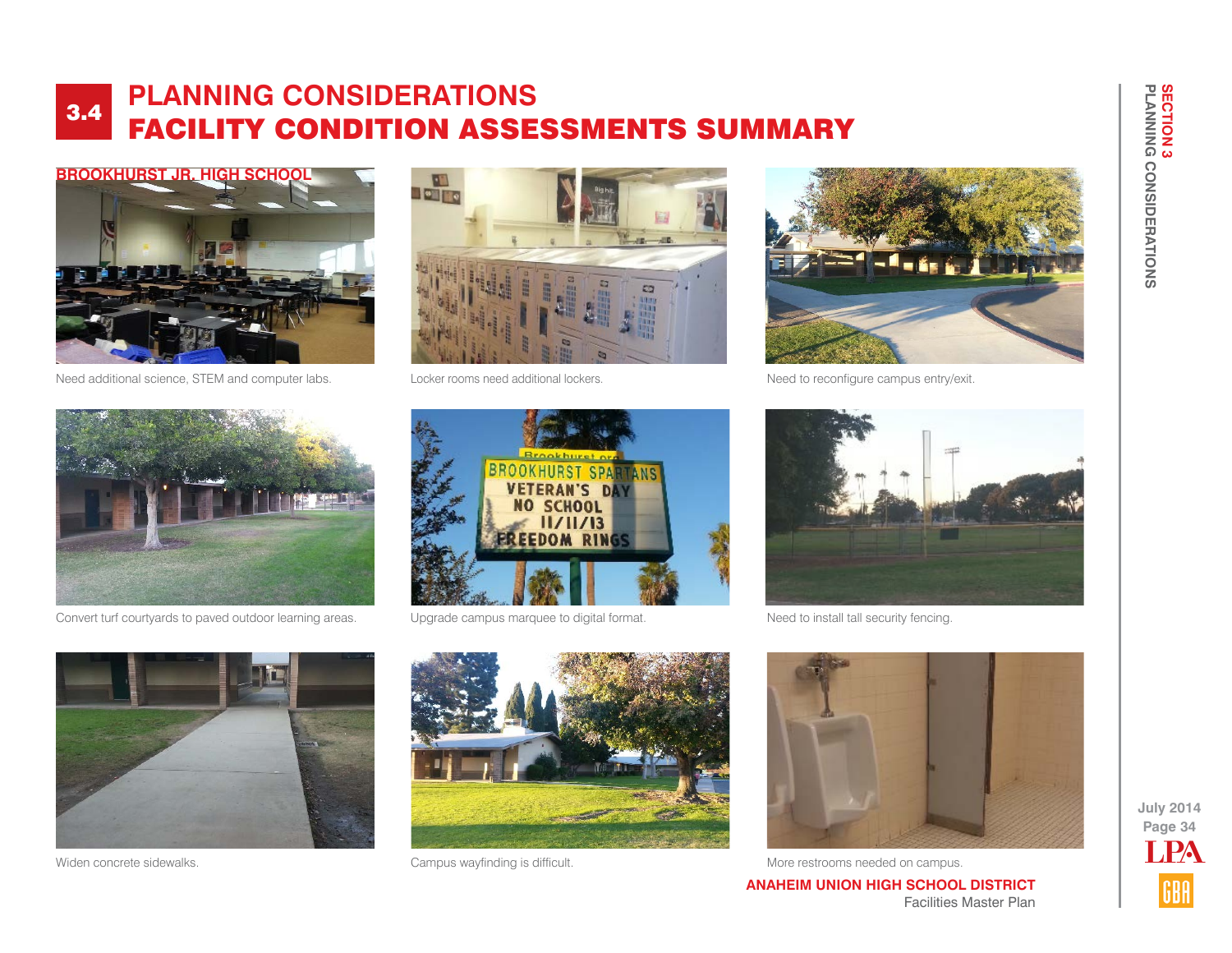

Need additional science, STEM and computer labs. Locker rooms need additional lockers.





Need to reconfigure campus entry/exit.



Convert turf courtyards to paved outdoor learning areas. Upgrade campus marquee to digital format.





Need to install tall security fencing.







Widen concrete sidewalks. The concrete sidewalks. Campus wayfinding is difficult. More restrooms needed on campus.

**ANAHEIM UNION HIGH SCHOOL DISTRICT** Facilities Master Plan

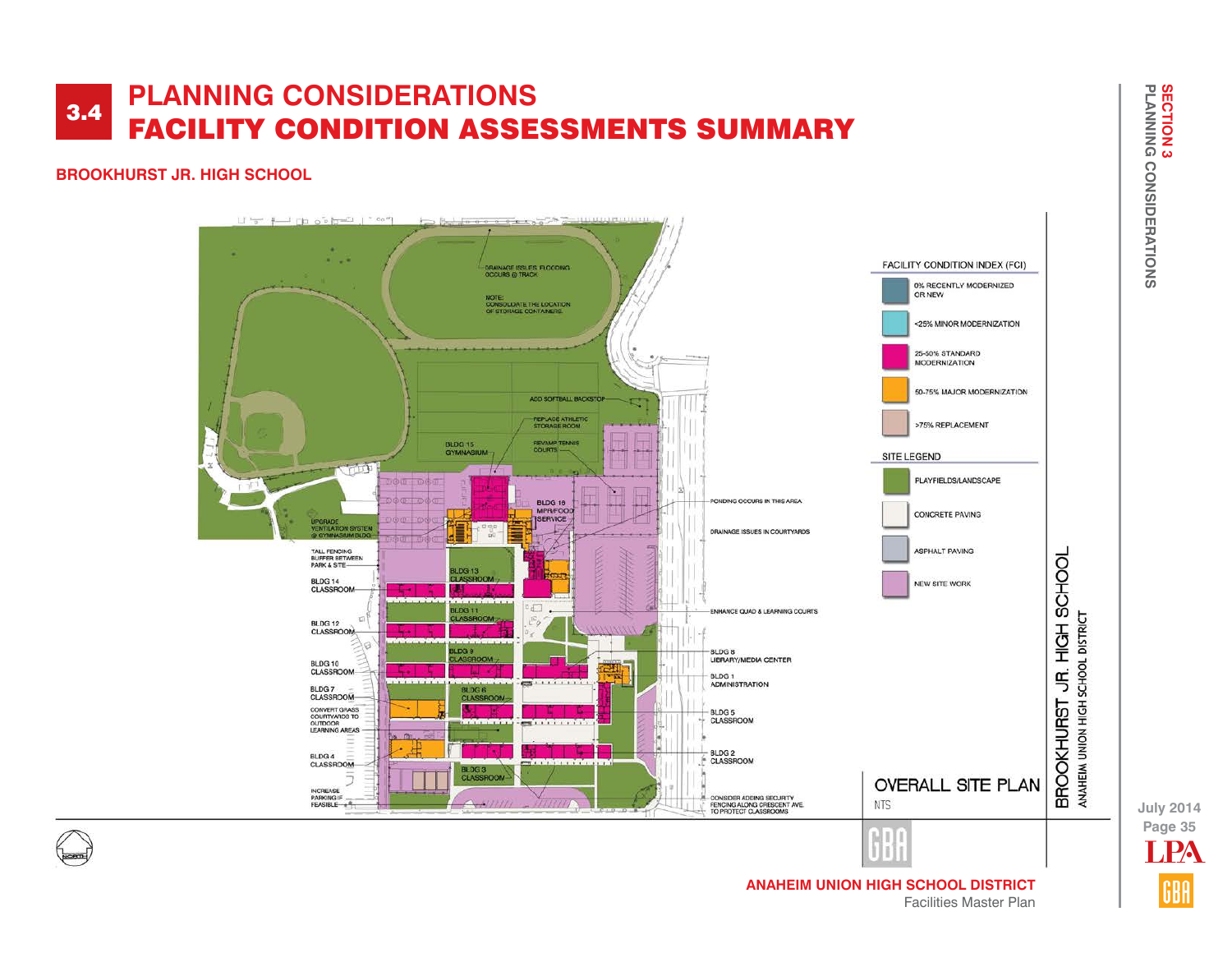## **BROOKHURST JR. HIGH SCHOOL**



**Page 35 July 2014** LPA